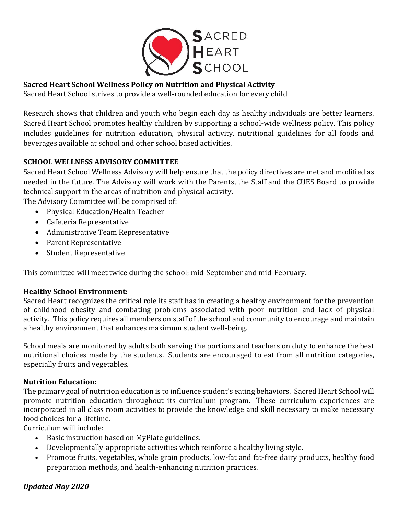

### **Sacred Heart School Wellness Policy on Nutrition and Physical Activity**

Sacred Heart School strives to provide a well-rounded education for every child

Research shows that children and youth who begin each day as healthy individuals are better learners. Sacred Heart School promotes healthy children by supporting a school-wide wellness policy. This policy includes guidelines for nutrition education, physical activity, nutritional guidelines for all foods and beverages available at school and other school based activities.

### **SCHOOL WELLNESS ADVISORY COMMITTEE**

Sacred Heart School Wellness Advisory will help ensure that the policy directives are met and modified as needed in the future. The Advisory will work with the Parents, the Staff and the CUES Board to provide technical support in the areas of nutrition and physical activity.

The Advisory Committee will be comprised of:

- Physical Education/Health Teacher
- Cafeteria Representative
- Administrative Team Representative
- Parent Representative
- Student Representative

This committee will meet twice during the school; mid-September and mid-February.

### **Healthy School Environment:**

Sacred Heart recognizes the critical role its staff has in creating a healthy environment for the prevention of childhood obesity and combating problems associated with poor nutrition and lack of physical activity. This policy requires all members on staff of the school and community to encourage and maintain a healthy environment that enhances maximum student well-being.

School meals are monitored by adults both serving the portions and teachers on duty to enhance the best nutritional choices made by the students. Students are encouraged to eat from all nutrition categories, especially fruits and vegetables.

### **Nutrition Education:**

The primary goal of nutrition education is to influence student's eating behaviors. Sacred Heart School will promote nutrition education throughout its curriculum program. These curriculum experiences are incorporated in all class room activities to provide the knowledge and skill necessary to make necessary food choices for a lifetime.

Curriculum will include:

- Basic instruction based on MyPlate guidelines.
- Developmentally-appropriate activities which reinforce a healthy living style.
- Promote fruits, vegetables, whole grain products, low-fat and fat-free dairy products, healthy food preparation methods, and health-enhancing nutrition practices.

### *Updated May 2020*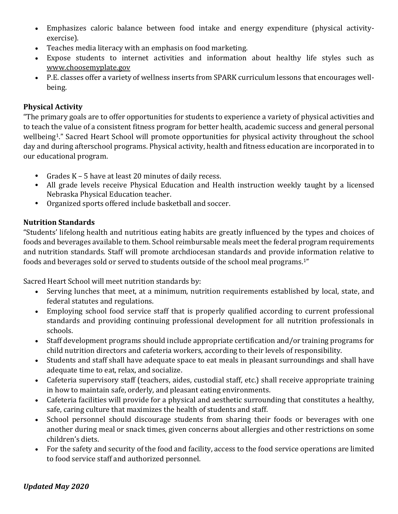- Emphasizes caloric balance between food intake and energy expenditure (physical activityexercise).
- Teaches media literacy with an emphasis on food marketing.
- Expose students to internet activities and information about healthy life styles such as [www.choosemyplate.gov](http://www.choosemyplate.gov/)
- P.E. classes offer a variety of wellness inserts from SPARK curriculum lessons that encourages wellbeing.

## **Physical Activity**

"The primary goals are to offer opportunities for students to experience a variety of physical activities and to teach the value of a consistent fitness program for better health, academic success and general personal wellbeing1." Sacred Heart School will promote opportunities for physical activity throughout the school day and during afterschool programs. Physical activity, health and fitness education are incorporated in to our educational program.

- Grades K 5 have at least 20 minutes of daily recess.
- All grade levels receive Physical Education and Health instruction weekly taught by a licensed Nebraska Physical Education teacher.
- Organized sports offered include basketball and soccer.

# **Nutrition Standards**

"Students' lifelong health and nutritious eating habits are greatly influenced by the types and choices of foods and beverages available to them. School reimbursable meals meet the federal program requirements and nutrition standards. Staff will promote archdiocesan standards and provide information relative to foods and beverages sold or served to students outside of the school meal programs.1"

Sacred Heart School will meet nutrition standards by:

- Serving lunches that meet, at a minimum, nutrition requirements established by local, state, and federal statutes and regulations.
- Employing school food service staff that is properly qualified according to current professional standards and providing continuing professional development for all nutrition professionals in schools.
- Staff development programs should include appropriate certification and/or training programs for child nutrition directors and cafeteria workers, according to their levels of responsibility.
- Students and staff shall have adequate space to eat meals in pleasant surroundings and shall have adequate time to eat, relax, and socialize.
- Cafeteria supervisory staff (teachers, aides, custodial staff, etc.) shall receive appropriate training in how to maintain safe, orderly, and pleasant eating environments.
- Cafeteria facilities will provide for a physical and aesthetic surrounding that constitutes a healthy, safe, caring culture that maximizes the health of students and staff.
- School personnel should discourage students from sharing their foods or beverages with one another during meal or snack times, given concerns about allergies and other restrictions on some children's diets.
- For the safety and security of the food and facility, access to the food service operations are limited to food service staff and authorized personnel.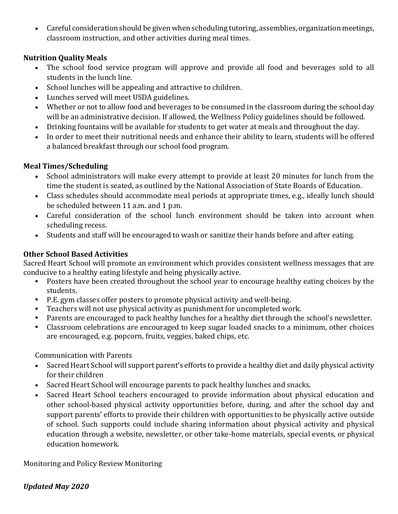Careful consideration should be given when scheduling tutoring, assemblies, organization meetings, classroom instruction, and other activities during meal times.

### **Nutrition Quality Meals**

- The school food service program will approve and provide all food and beverages sold to all students in the lunch line.
- School lunches will be appealing and attractive to children.
- Lunches served will meet USDA guidelines.
- Whether or not to allow food and beverages to be consumed in the classroom during the school day will be an administrative decision. If allowed, the Wellness Policy guidelines should be followed.
- Drinking fountains will be available for students to get water at meals and throughout the day.
- In order to meet their nutritional needs and enhance their ability to learn, students will be offered a balanced breakfast through our school food program.

### **Meal Times/Scheduling**

- School administrators will make every attempt to provide at least 20 minutes for lunch from the time the student is seated, as outlined by the National Association of State Boards of Education.
- Class schedules should accommodate meal periods at appropriate times, e.g., ideally lunch should be scheduled between 11 a.m. and 1 p.m.
- Careful consideration of the school lunch environment should be taken into account when scheduling recess.
- Students and staff will be encouraged to wash or sanitize their hands before and after eating.

## **Other School Based Activities**

Sacred Heart School will promote an environment which provides consistent wellness messages that are conducive to a healthy eating lifestyle and being physically active.

- Posters have been created throughout the school year to encourage healthy eating choices by the students.
- P.E. gym classes offer posters to promote physical activity and well-being.
- Teachers will not use physical activity as punishment for uncompleted work.
- Parents are encouraged to pack healthy lunches for a healthy diet through the school's newsletter.
- Classroom celebrations are encouraged to keep sugar loaded snacks to a minimum, other choices are encouraged, e.g. popcorn, fruits, veggies, baked chips, etc.

Communication with Parents

- Sacred Heart School will support parent's efforts to provide a healthy diet and daily physical activity for their children
- Sacred Heart School will encourage parents to pack healthy lunches and snacks.
- Sacred Heart School teachers encouraged to provide information about physical education and other school-based physical activity opportunities before, during, and after the school day and support parents' efforts to provide their children with opportunities to be physically active outside of school. Such supports could include sharing information about physical activity and physical education through a website, newsletter, or other take-home materials, special events, or physical education homework.

Monitoring and Policy Review Monitoring